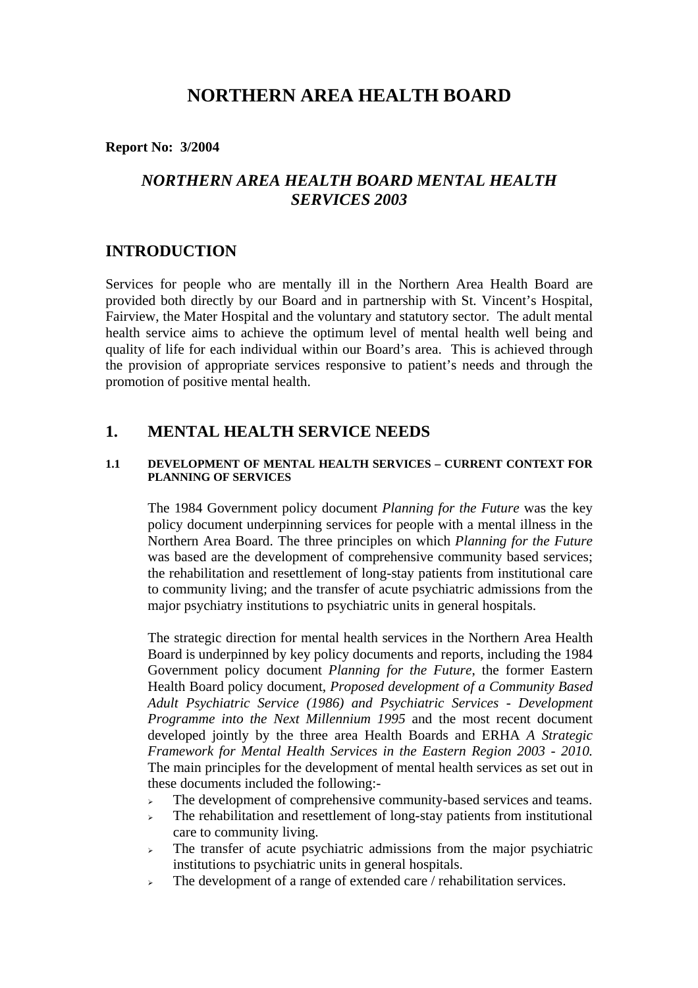# **NORTHERN AREA HEALTH BOARD**

**Report No: 3/2004**

# *NORTHERN AREA HEALTH BOARD MENTAL HEALTH SERVICES 2003*

## **INTRODUCTION**

Services for people who are mentally ill in the Northern Area Health Board are provided both directly by our Board and in partnership with St. Vincent's Hospital, Fairview, the Mater Hospital and the voluntary and statutory sector. The adult mental health service aims to achieve the optimum level of mental health well being and quality of life for each individual within our Board's area. This is achieved through the provision of appropriate services responsive to patient's needs and through the promotion of positive mental health.

## **1. MENTAL HEALTH SERVICE NEEDS**

#### **1.1 DEVELOPMENT OF MENTAL HEALTH SERVICES – CURRENT CONTEXT FOR PLANNING OF SERVICES**

The 1984 Government policy document *Planning for the Future* was the key policy document underpinning services for people with a mental illness in the Northern Area Board. The three principles on which *Planning for the Future* was based are the development of comprehensive community based services; the rehabilitation and resettlement of long-stay patients from institutional care to community living; and the transfer of acute psychiatric admissions from the major psychiatry institutions to psychiatric units in general hospitals.

The strategic direction for mental health services in the Northern Area Health Board is underpinned by key policy documents and reports, including the 1984 Government policy document *Planning for the Future*, the former Eastern Health Board policy document, *Proposed development of a Community Based Adult Psychiatric Service (1986) and Psychiatric Services - Development Programme into the Next Millennium 1995* and the most recent document developed jointly by the three area Health Boards and ERHA *A Strategic Framework for Mental Health Services in the Eastern Region 2003 - 2010.* The main principles for the development of mental health services as set out in these documents included the following:-

- $\triangleright$  The development of comprehensive community-based services and teams.
- <sup>¾</sup> The rehabilitation and resettlement of long-stay patients from institutional care to community living.
- <sup>¾</sup> The transfer of acute psychiatric admissions from the major psychiatric institutions to psychiatric units in general hospitals.
- $\triangleright$  The development of a range of extended care / rehabilitation services.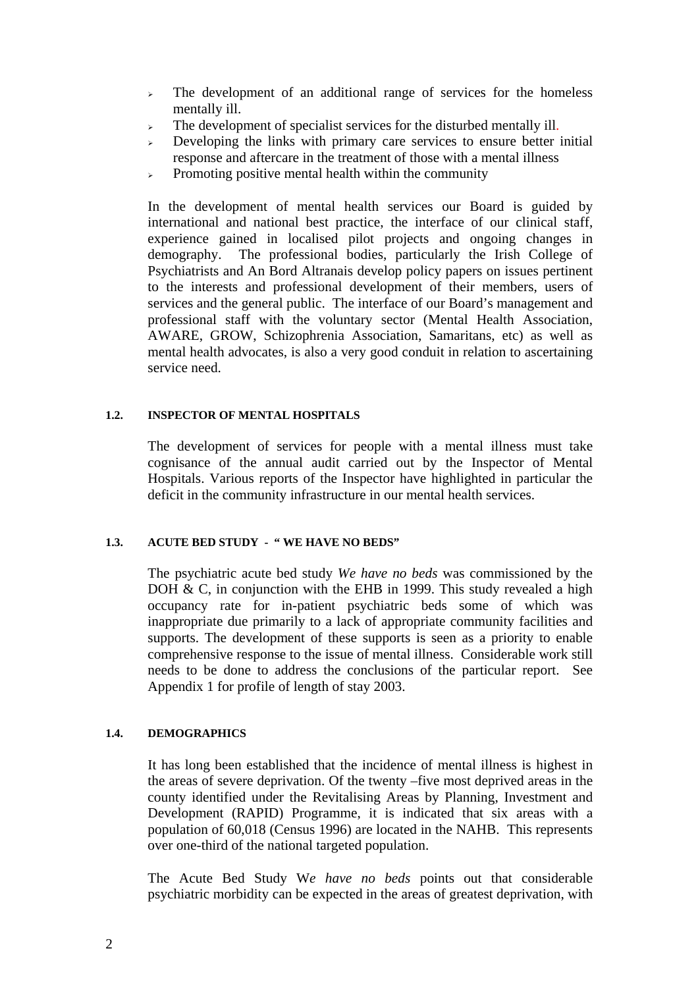- $\geq$  The development of an additional range of services for the homeless mentally ill.
- $\triangleright$  The development of specialist services for the disturbed mentally ill.
- Developing the links with primary care services to ensure better initial response and aftercare in the treatment of those with a mental illness
- $\triangleright$  Promoting positive mental health within the community

In the development of mental health services our Board is guided by international and national best practice, the interface of our clinical staff, experience gained in localised pilot projects and ongoing changes in demography. The professional bodies, particularly the Irish College of Psychiatrists and An Bord Altranais develop policy papers on issues pertinent to the interests and professional development of their members, users of services and the general public. The interface of our Board's management and professional staff with the voluntary sector (Mental Health Association, AWARE, GROW, Schizophrenia Association, Samaritans, etc) as well as mental health advocates, is also a very good conduit in relation to ascertaining service need.

## **1.2. INSPECTOR OF MENTAL HOSPITALS**

The development of services for people with a mental illness must take cognisance of the annual audit carried out by the Inspector of Mental Hospitals. Various reports of the Inspector have highlighted in particular the deficit in the community infrastructure in our mental health services.

## **1.3. ACUTE BED STUDY - " WE HAVE NO BEDS"**

The psychiatric acute bed study *We have no beds* was commissioned by the DOH  $\&$  C, in conjunction with the EHB in 1999. This study revealed a high occupancy rate for in-patient psychiatric beds some of which was inappropriate due primarily to a lack of appropriate community facilities and supports. The development of these supports is seen as a priority to enable comprehensive response to the issue of mental illness. Considerable work still needs to be done to address the conclusions of the particular report. See Appendix 1 for profile of length of stay 2003.

## **1.4. DEMOGRAPHICS**

It has long been established that the incidence of mental illness is highest in the areas of severe deprivation. Of the twenty –five most deprived areas in the county identified under the Revitalising Areas by Planning, Investment and Development (RAPID) Programme, it is indicated that six areas with a population of 60,018 (Census 1996) are located in the NAHB. This represents over one-third of the national targeted population.

The Acute Bed Study W*e have no beds* points out that considerable psychiatric morbidity can be expected in the areas of greatest deprivation, with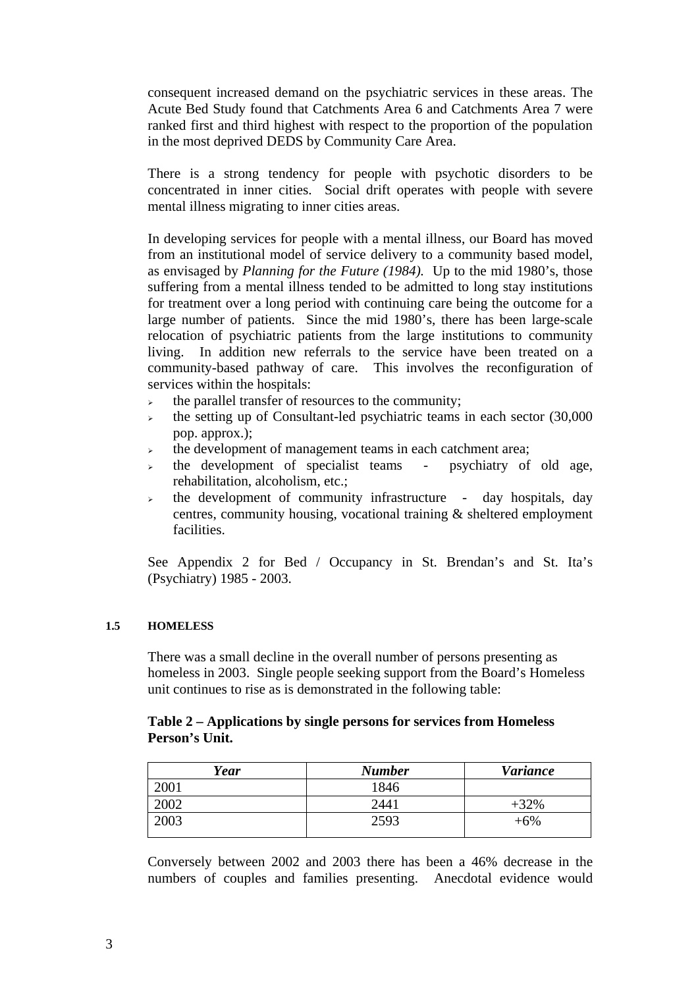consequent increased demand on the psychiatric services in these areas. The Acute Bed Study found that Catchments Area 6 and Catchments Area 7 were ranked first and third highest with respect to the proportion of the population in the most deprived DEDS by Community Care Area.

There is a strong tendency for people with psychotic disorders to be concentrated in inner cities. Social drift operates with people with severe mental illness migrating to inner cities areas.

In developing services for people with a mental illness, our Board has moved from an institutional model of service delivery to a community based model, as envisaged by *Planning for the Future (1984).* Up to the mid 1980's, those suffering from a mental illness tended to be admitted to long stay institutions for treatment over a long period with continuing care being the outcome for a large number of patients. Since the mid 1980's, there has been large-scale relocation of psychiatric patients from the large institutions to community living. In addition new referrals to the service have been treated on a community-based pathway of care. This involves the reconfiguration of services within the hospitals:

- $\rightarrow$  the parallel transfer of resources to the community;
- $\rightarrow$  the setting up of Consultant-led psychiatric teams in each sector (30,000) pop. approx.);
- <sup>¾</sup> the development of management teams in each catchment area;
- the development of specialist teams psychiatry of old age, rehabilitation, alcoholism, etc.;
- $\rightarrow$  the development of community infrastructure day hospitals, day centres, community housing, vocational training & sheltered employment facilities.

See Appendix 2 for Bed / Occupancy in St. Brendan's and St. Ita's (Psychiatry) 1985 - 2003.

#### **1.5 HOMELESS**

There was a small decline in the overall number of persons presenting as homeless in 2003. Single people seeking support from the Board's Homeless unit continues to rise as is demonstrated in the following table:

## **Table 2 – Applications by single persons for services from Homeless Person's Unit.**

| Year | <b>Number</b> | <b>Variance</b> |
|------|---------------|-----------------|
| 2001 | 1846          |                 |
| 2002 | 2441          | $+32%$          |
| 2003 | 2593          | $+6%$           |

Conversely between 2002 and 2003 there has been a 46% decrease in the numbers of couples and families presenting. Anecdotal evidence would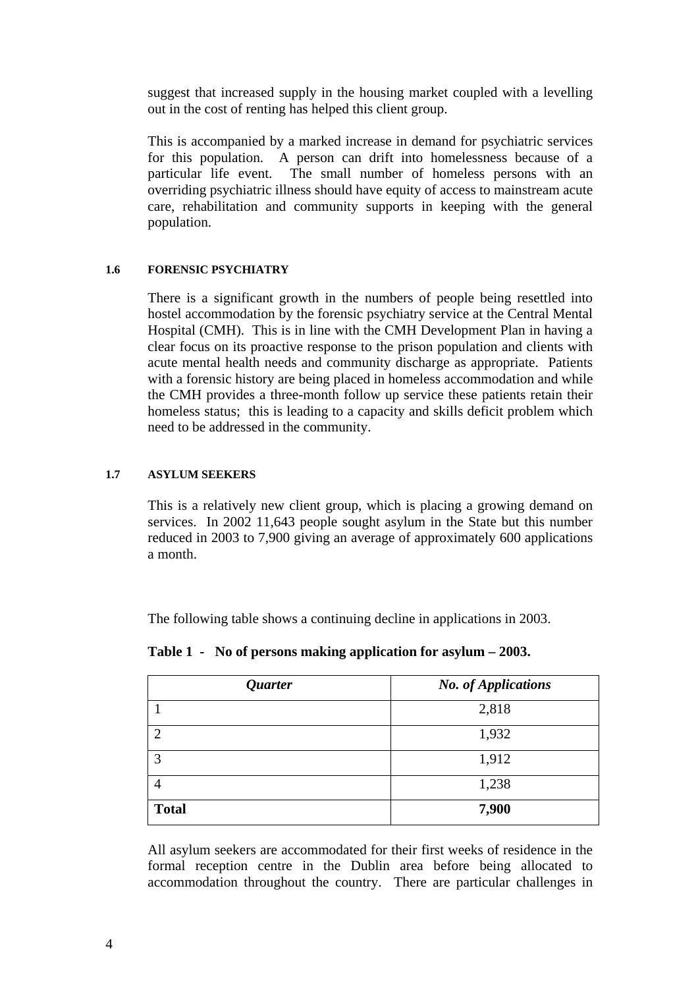suggest that increased supply in the housing market coupled with a levelling out in the cost of renting has helped this client group.

This is accompanied by a marked increase in demand for psychiatric services for this population. A person can drift into homelessness because of a particular life event. The small number of homeless persons with an overriding psychiatric illness should have equity of access to mainstream acute care, rehabilitation and community supports in keeping with the general population.

## **1.6 FORENSIC PSYCHIATRY**

There is a significant growth in the numbers of people being resettled into hostel accommodation by the forensic psychiatry service at the Central Mental Hospital (CMH). This is in line with the CMH Development Plan in having a clear focus on its proactive response to the prison population and clients with acute mental health needs and community discharge as appropriate. Patients with a forensic history are being placed in homeless accommodation and while the CMH provides a three-month follow up service these patients retain their homeless status; this is leading to a capacity and skills deficit problem which need to be addressed in the community.

## **1.7 ASYLUM SEEKERS**

This is a relatively new client group, which is placing a growing demand on services. In 2002 11,643 people sought asylum in the State but this number reduced in 2003 to 7,900 giving an average of approximately 600 applications a month.

The following table shows a continuing decline in applications in 2003.

| Quarter        | <b>No.</b> of Applications |
|----------------|----------------------------|
|                | 2,818                      |
| $\mathfrak{D}$ | 1,932                      |
| 3              | 1,912                      |
| 4              | 1,238                      |
| <b>Total</b>   | 7,900                      |

**Table 1 - No of persons making application for asylum – 2003.** 

All asylum seekers are accommodated for their first weeks of residence in the formal reception centre in the Dublin area before being allocated to accommodation throughout the country. There are particular challenges in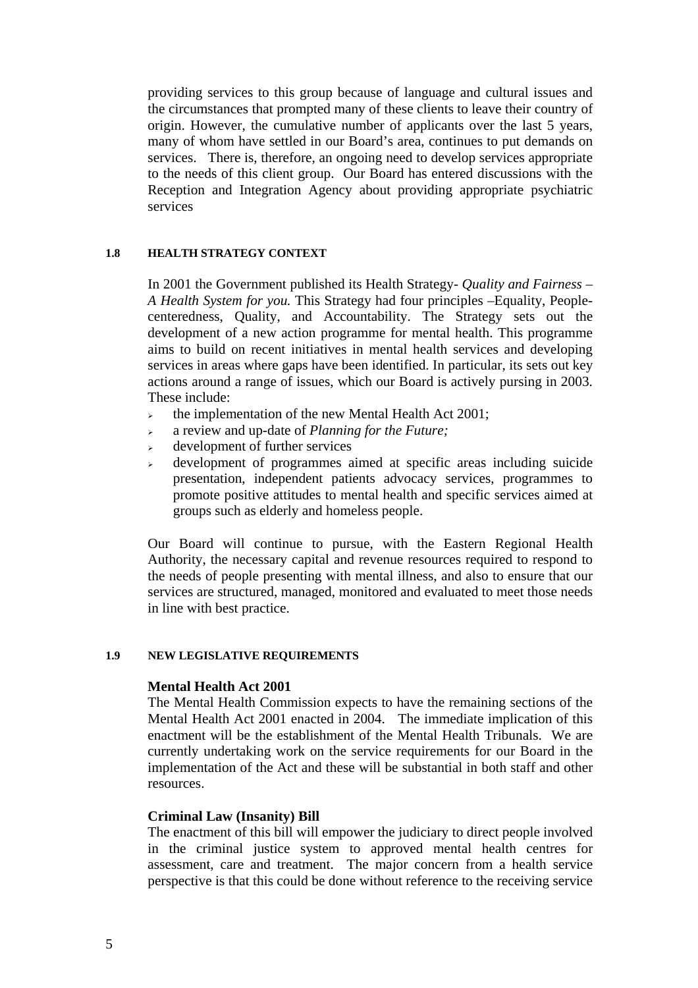providing services to this group because of language and cultural issues and the circumstances that prompted many of these clients to leave their country of origin. However, the cumulative number of applicants over the last 5 years, many of whom have settled in our Board's area, continues to put demands on services. There is, therefore, an ongoing need to develop services appropriate to the needs of this client group. Our Board has entered discussions with the Reception and Integration Agency about providing appropriate psychiatric services

#### **1.8 HEALTH STRATEGY CONTEXT**

In 2001 the Government published its Health Strategy- *Quality and Fairness – A Health System for you.* This Strategy had four principles –Equality, Peoplecenteredness, Quality, and Accountability. The Strategy sets out the development of a new action programme for mental health. This programme aims to build on recent initiatives in mental health services and developing services in areas where gaps have been identified. In particular, its sets out key actions around a range of issues, which our Board is actively pursing in 2003. These include:

- $\rightarrow$  the implementation of the new Mental Health Act 2001;
- <sup>¾</sup> a review and up-date of *Planning for the Future;*
- $\rightarrow$  development of further services
- <sup>¾</sup> development of programmes aimed at specific areas including suicide presentation, independent patients advocacy services, programmes to promote positive attitudes to mental health and specific services aimed at groups such as elderly and homeless people.

Our Board will continue to pursue, with the Eastern Regional Health Authority, the necessary capital and revenue resources required to respond to the needs of people presenting with mental illness, and also to ensure that our services are structured, managed, monitored and evaluated to meet those needs in line with best practice.

#### **1.9 NEW LEGISLATIVE REQUIREMENTS**

## **Mental Health Act 2001**

The Mental Health Commission expects to have the remaining sections of the Mental Health Act 2001 enacted in 2004. The immediate implication of this enactment will be the establishment of the Mental Health Tribunals. We are currently undertaking work on the service requirements for our Board in the implementation of the Act and these will be substantial in both staff and other resources.

#### **Criminal Law (Insanity) Bill**

The enactment of this bill will empower the judiciary to direct people involved in the criminal justice system to approved mental health centres for assessment, care and treatment. The major concern from a health service perspective is that this could be done without reference to the receiving service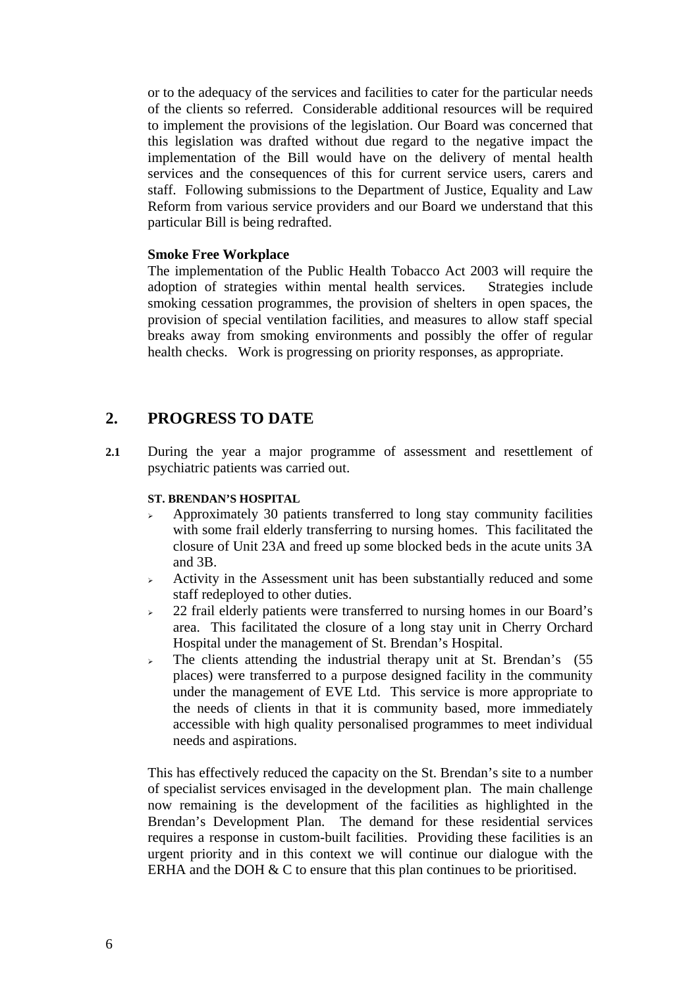or to the adequacy of the services and facilities to cater for the particular needs of the clients so referred. Considerable additional resources will be required to implement the provisions of the legislation. Our Board was concerned that this legislation was drafted without due regard to the negative impact the implementation of the Bill would have on the delivery of mental health services and the consequences of this for current service users, carers and staff. Following submissions to the Department of Justice, Equality and Law Reform from various service providers and our Board we understand that this particular Bill is being redrafted.

## **Smoke Free Workplace**

The implementation of the Public Health Tobacco Act 2003 will require the adoption of strategies within mental health services. Strategies include smoking cessation programmes, the provision of shelters in open spaces, the provision of special ventilation facilities, and measures to allow staff special breaks away from smoking environments and possibly the offer of regular health checks. Work is progressing on priority responses, as appropriate.

## **2. PROGRESS TO DATE**

**2.1** During the year a major programme of assessment and resettlement of psychiatric patients was carried out.

#### **ST. BRENDAN'S HOSPITAL**

- <sup>¾</sup> Approximately 30 patients transferred to long stay community facilities with some frail elderly transferring to nursing homes. This facilitated the closure of Unit 23A and freed up some blocked beds in the acute units 3A and 3B.
- <sup>¾</sup> Activity in the Assessment unit has been substantially reduced and some staff redeployed to other duties.
- <sup>¾</sup> 22 frail elderly patients were transferred to nursing homes in our Board's area. This facilitated the closure of a long stay unit in Cherry Orchard Hospital under the management of St. Brendan's Hospital.
- $\geq$  The clients attending the industrial therapy unit at St. Brendan's (55) places) were transferred to a purpose designed facility in the community under the management of EVE Ltd. This service is more appropriate to the needs of clients in that it is community based, more immediately accessible with high quality personalised programmes to meet individual needs and aspirations.

This has effectively reduced the capacity on the St. Brendan's site to a number of specialist services envisaged in the development plan. The main challenge now remaining is the development of the facilities as highlighted in the Brendan's Development Plan. The demand for these residential services requires a response in custom-built facilities. Providing these facilities is an urgent priority and in this context we will continue our dialogue with the ERHA and the DOH  $&$  C to ensure that this plan continues to be prioritised.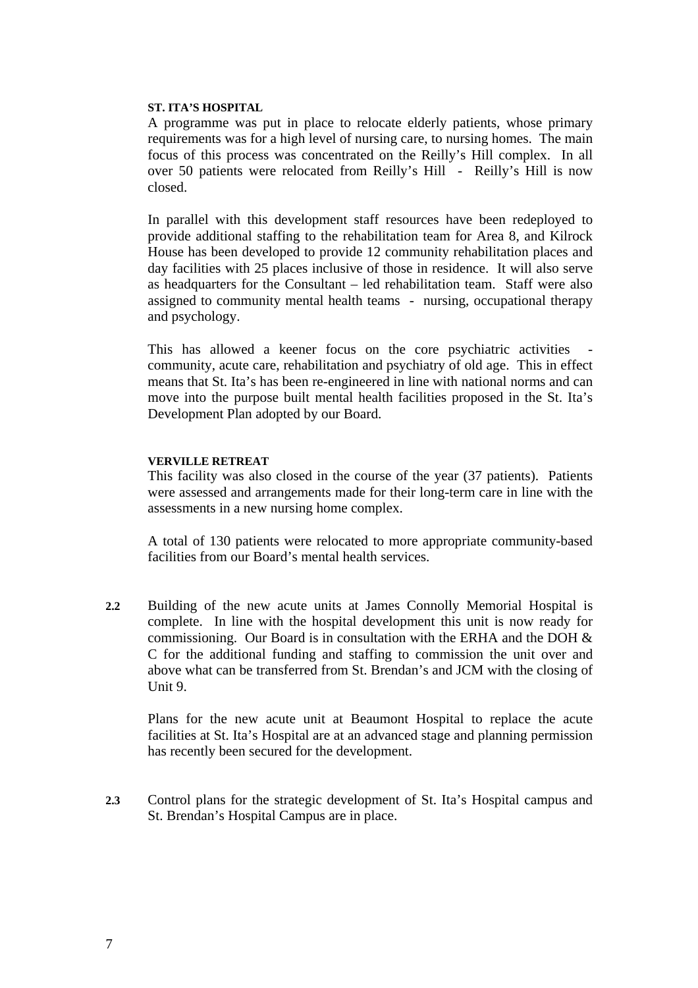#### **ST. ITA'S HOSPITAL**

A programme was put in place to relocate elderly patients, whose primary requirements was for a high level of nursing care, to nursing homes. The main focus of this process was concentrated on the Reilly's Hill complex. In all over 50 patients were relocated from Reilly's Hill - Reilly's Hill is now closed.

In parallel with this development staff resources have been redeployed to provide additional staffing to the rehabilitation team for Area 8, and Kilrock House has been developed to provide 12 community rehabilitation places and day facilities with 25 places inclusive of those in residence. It will also serve as headquarters for the Consultant – led rehabilitation team. Staff were also assigned to community mental health teams - nursing, occupational therapy and psychology.

This has allowed a keener focus on the core psychiatric activities community, acute care, rehabilitation and psychiatry of old age. This in effect means that St. Ita's has been re-engineered in line with national norms and can move into the purpose built mental health facilities proposed in the St. Ita's Development Plan adopted by our Board.

#### **VERVILLE RETREAT**

This facility was also closed in the course of the year (37 patients). Patients were assessed and arrangements made for their long-term care in line with the assessments in a new nursing home complex.

A total of 130 patients were relocated to more appropriate community-based facilities from our Board's mental health services.

**2.2** Building of the new acute units at James Connolly Memorial Hospital is complete. In line with the hospital development this unit is now ready for commissioning. Our Board is in consultation with the ERHA and the DOH & C for the additional funding and staffing to commission the unit over and above what can be transferred from St. Brendan's and JCM with the closing of Unit 9.

Plans for the new acute unit at Beaumont Hospital to replace the acute facilities at St. Ita's Hospital are at an advanced stage and planning permission has recently been secured for the development.

**2.3** Control plans for the strategic development of St. Ita's Hospital campus and St. Brendan's Hospital Campus are in place.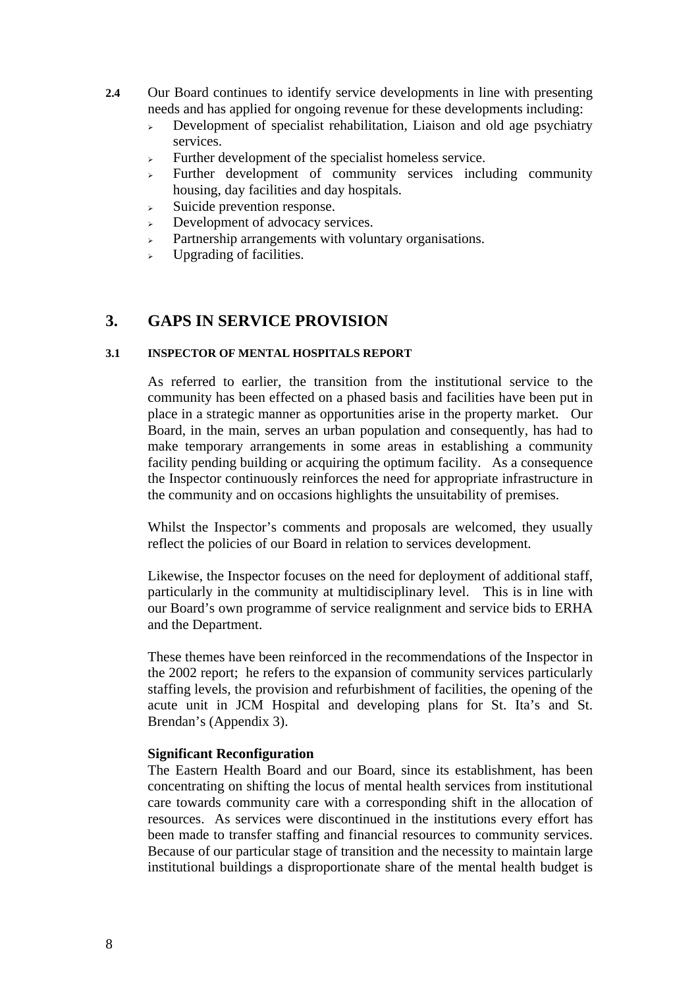- **2.4** Our Board continues to identify service developments in line with presenting needs and has applied for ongoing revenue for these developments including:
	- $\rightarrow$  Development of specialist rehabilitation, Liaison and old age psychiatry services.
	- $\triangleright$  Further development of the specialist homeless service.
	- $\triangleright$  Further development of community services including community housing, day facilities and day hospitals.
	- <sup>¾</sup> Suicide prevention response.
	- Development of advocacy services.
	- <sup>¾</sup> Partnership arrangements with voluntary organisations.
	- $\triangleright$  Upgrading of facilities.

## **3. GAPS IN SERVICE PROVISION**

## **3.1 INSPECTOR OF MENTAL HOSPITALS REPORT**

As referred to earlier, the transition from the institutional service to the community has been effected on a phased basis and facilities have been put in place in a strategic manner as opportunities arise in the property market. Our Board, in the main, serves an urban population and consequently, has had to make temporary arrangements in some areas in establishing a community facility pending building or acquiring the optimum facility. As a consequence the Inspector continuously reinforces the need for appropriate infrastructure in the community and on occasions highlights the unsuitability of premises.

Whilst the Inspector's comments and proposals are welcomed, they usually reflect the policies of our Board in relation to services development.

Likewise, the Inspector focuses on the need for deployment of additional staff, particularly in the community at multidisciplinary level. This is in line with our Board's own programme of service realignment and service bids to ERHA and the Department.

These themes have been reinforced in the recommendations of the Inspector in the 2002 report; he refers to the expansion of community services particularly staffing levels, the provision and refurbishment of facilities, the opening of the acute unit in JCM Hospital and developing plans for St. Ita's and St. Brendan's (Appendix 3).

## **Significant Reconfiguration**

The Eastern Health Board and our Board, since its establishment, has been concentrating on shifting the locus of mental health services from institutional care towards community care with a corresponding shift in the allocation of resources. As services were discontinued in the institutions every effort has been made to transfer staffing and financial resources to community services. Because of our particular stage of transition and the necessity to maintain large institutional buildings a disproportionate share of the mental health budget is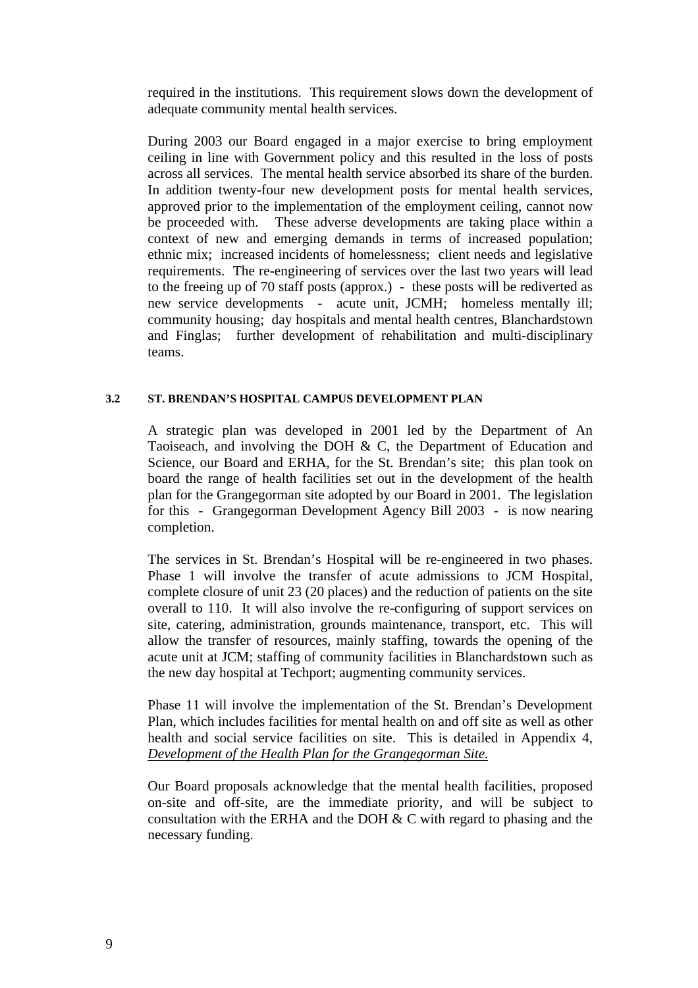required in the institutions. This requirement slows down the development of adequate community mental health services.

During 2003 our Board engaged in a major exercise to bring employment ceiling in line with Government policy and this resulted in the loss of posts across all services. The mental health service absorbed its share of the burden. In addition twenty-four new development posts for mental health services, approved prior to the implementation of the employment ceiling, cannot now be proceeded with. These adverse developments are taking place within a context of new and emerging demands in terms of increased population; ethnic mix; increased incidents of homelessness; client needs and legislative requirements. The re-engineering of services over the last two years will lead to the freeing up of 70 staff posts (approx.) - these posts will be rediverted as new service developments - acute unit, JCMH; homeless mentally ill; community housing; day hospitals and mental health centres, Blanchardstown and Finglas; further development of rehabilitation and multi-disciplinary teams.

## **3.2 ST. BRENDAN'S HOSPITAL CAMPUS DEVELOPMENT PLAN**

A strategic plan was developed in 2001 led by the Department of An Taoiseach, and involving the DOH & C, the Department of Education and Science, our Board and ERHA, for the St. Brendan's site; this plan took on board the range of health facilities set out in the development of the health plan for the Grangegorman site adopted by our Board in 2001. The legislation for this - Grangegorman Development Agency Bill 2003 - is now nearing completion.

The services in St. Brendan's Hospital will be re-engineered in two phases. Phase 1 will involve the transfer of acute admissions to JCM Hospital, complete closure of unit 23 (20 places) and the reduction of patients on the site overall to 110. It will also involve the re-configuring of support services on site, catering, administration, grounds maintenance, transport, etc. This will allow the transfer of resources, mainly staffing, towards the opening of the acute unit at JCM; staffing of community facilities in Blanchardstown such as the new day hospital at Techport; augmenting community services.

Phase 11 will involve the implementation of the St. Brendan's Development Plan, which includes facilities for mental health on and off site as well as other health and social service facilities on site. This is detailed in Appendix 4, *Development of the Health Plan for the Grangegorman Site.*

Our Board proposals acknowledge that the mental health facilities, proposed on-site and off-site, are the immediate priority, and will be subject to consultation with the ERHA and the DOH & C with regard to phasing and the necessary funding.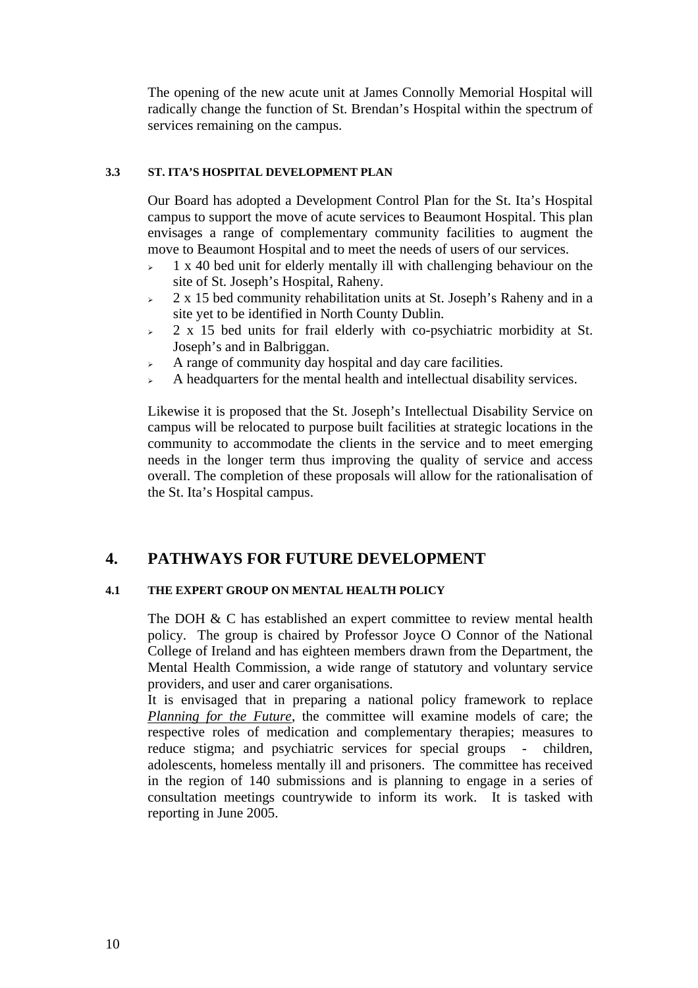The opening of the new acute unit at James Connolly Memorial Hospital will radically change the function of St. Brendan's Hospital within the spectrum of services remaining on the campus.

## **3.3 ST. ITA'S HOSPITAL DEVELOPMENT PLAN**

Our Board has adopted a Development Control Plan for the St. Ita's Hospital campus to support the move of acute services to Beaumont Hospital. This plan envisages a range of complementary community facilities to augment the move to Beaumont Hospital and to meet the needs of users of our services.

- $\approx$  1 x 40 bed unit for elderly mentally ill with challenging behaviour on the site of St. Joseph's Hospital, Raheny.
- $\approx$  2 x 15 bed community rehabilitation units at St. Joseph's Raheny and in a site yet to be identified in North County Dublin.
- $\geq$  2 x 15 bed units for frail elderly with co-psychiatric morbidity at St. Joseph's and in Balbriggan.
- <sup>¾</sup> A range of community day hospital and day care facilities.
- <sup>¾</sup> A headquarters for the mental health and intellectual disability services.

Likewise it is proposed that the St. Joseph's Intellectual Disability Service on campus will be relocated to purpose built facilities at strategic locations in the community to accommodate the clients in the service and to meet emerging needs in the longer term thus improving the quality of service and access overall. The completion of these proposals will allow for the rationalisation of the St. Ita's Hospital campus.

# **4. PATHWAYS FOR FUTURE DEVELOPMENT**

#### **4.1 THE EXPERT GROUP ON MENTAL HEALTH POLICY**

The DOH & C has established an expert committee to review mental health policy. The group is chaired by Professor Joyce O Connor of the National College of Ireland and has eighteen members drawn from the Department, the Mental Health Commission, a wide range of statutory and voluntary service providers, and user and carer organisations.

It is envisaged that in preparing a national policy framework to replace *Planning for the Future*, the committee will examine models of care; the respective roles of medication and complementary therapies; measures to reduce stigma; and psychiatric services for special groups - children, adolescents, homeless mentally ill and prisoners. The committee has received in the region of 140 submissions and is planning to engage in a series of consultation meetings countrywide to inform its work. It is tasked with reporting in June 2005.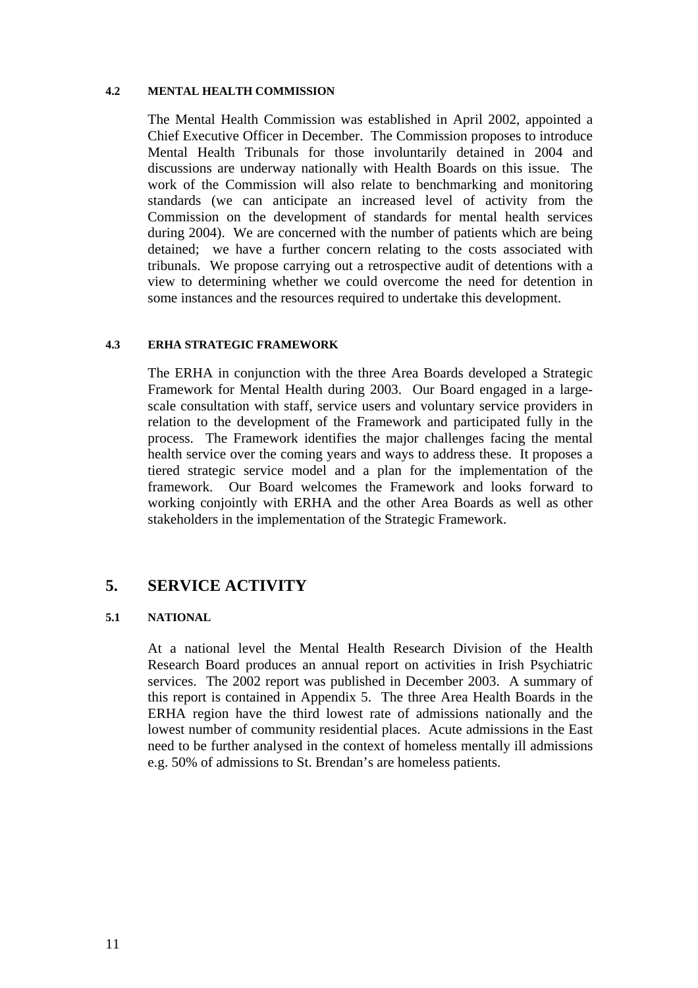#### **4.2 MENTAL HEALTH COMMISSION**

The Mental Health Commission was established in April 2002, appointed a Chief Executive Officer in December. The Commission proposes to introduce Mental Health Tribunals for those involuntarily detained in 2004 and discussions are underway nationally with Health Boards on this issue. The work of the Commission will also relate to benchmarking and monitoring standards (we can anticipate an increased level of activity from the Commission on the development of standards for mental health services during 2004). We are concerned with the number of patients which are being detained; we have a further concern relating to the costs associated with tribunals. We propose carrying out a retrospective audit of detentions with a view to determining whether we could overcome the need for detention in some instances and the resources required to undertake this development.

#### **4.3 ERHA STRATEGIC FRAMEWORK**

The ERHA in conjunction with the three Area Boards developed a Strategic Framework for Mental Health during 2003.Our Board engaged in a largescale consultation with staff, service users and voluntary service providers in relation to the development of the Framework and participated fully in the process. The Framework identifies the major challenges facing the mental health service over the coming years and ways to address these. It proposes a tiered strategic service model and a plan for the implementation of the framework. Our Board welcomes the Framework and looks forward to working conjointly with ERHA and the other Area Boards as well as other stakeholders in the implementation of the Strategic Framework.

# **5. SERVICE ACTIVITY**

## **5.1 NATIONAL**

At a national level the Mental Health Research Division of the Health Research Board produces an annual report on activities in Irish Psychiatric services. The 2002 report was published in December 2003. A summary of this report is contained in Appendix 5. The three Area Health Boards in the ERHA region have the third lowest rate of admissions nationally and the lowest number of community residential places. Acute admissions in the East need to be further analysed in the context of homeless mentally ill admissions e.g. 50% of admissions to St. Brendan's are homeless patients.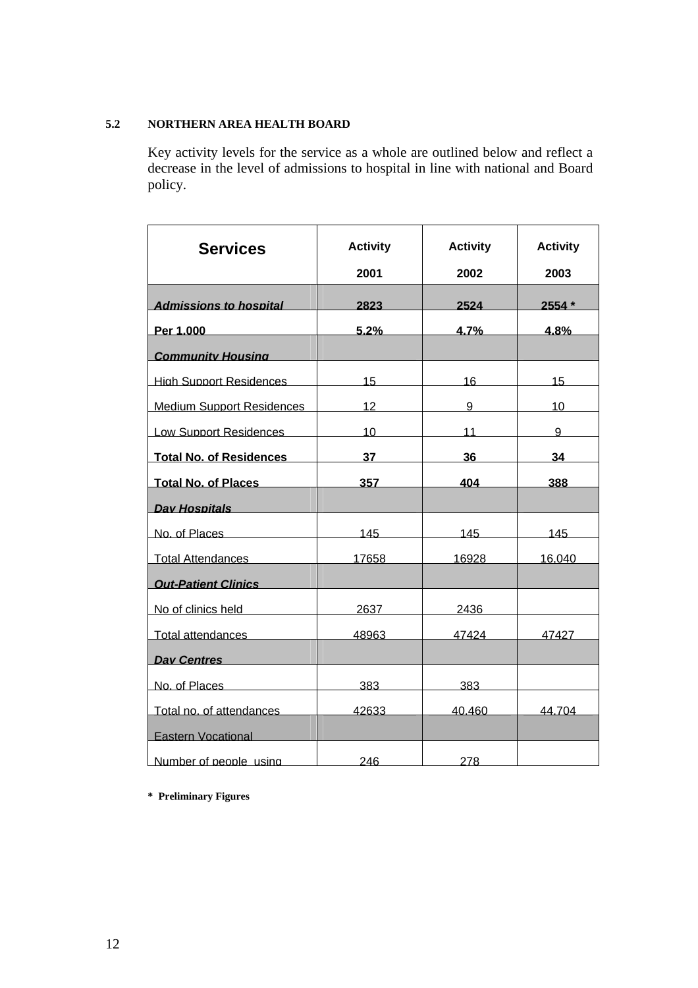## **5.2 NORTHERN AREA HEALTH BOARD**

Key activity levels for the service as a whole are outlined below and reflect a decrease in the level of admissions to hospital in line with national and Board policy.

| <b>Services</b>                  | <b>Activity</b><br>2001 | <b>Activity</b><br>2002 | <b>Activity</b><br>2003 |
|----------------------------------|-------------------------|-------------------------|-------------------------|
| <b>Admissions to hospital</b>    | 2823                    | 2524                    | $2554*$                 |
| Per 1.000                        | 5.2%                    | 4.7%                    | 4.8%                    |
| <b>Community Housing</b>         |                         |                         |                         |
| <b>High Support Residences</b>   | 15 <sup>1</sup>         | 16                      | 15                      |
| <b>Medium Support Residences</b> | 12                      | 9                       | 10                      |
| <b>Low Support Residences</b>    | 10 <sup>1</sup>         | 11                      | 9                       |
| <b>Total No. of Residences</b>   | 37                      | 36                      | 34                      |
| <b>Total No. of Places</b>       | 357                     | 404                     | 388                     |
| Dav Hospitals                    |                         |                         |                         |
| No. of Places                    | 145                     | 145                     | 145                     |
| <b>Total Attendances</b>         | 17658                   | 16928                   | 16.040                  |
| <b>Out-Patient Clinics</b>       |                         |                         |                         |
| No of clinics held               | 2637                    | 2436                    |                         |
| Total attendances                | 48963                   | 47424                   | 47427                   |
| <b>Day Centres</b>               |                         |                         |                         |
| No. of Places                    | 383                     | 383.                    |                         |
| Total no. of attendances         | 42633                   | 40.460                  | 44.704                  |
| <b>Eastern Vocational</b>        |                         |                         |                         |
| Number of people using           | 246                     | 278                     |                         |

**\* Preliminary Figures**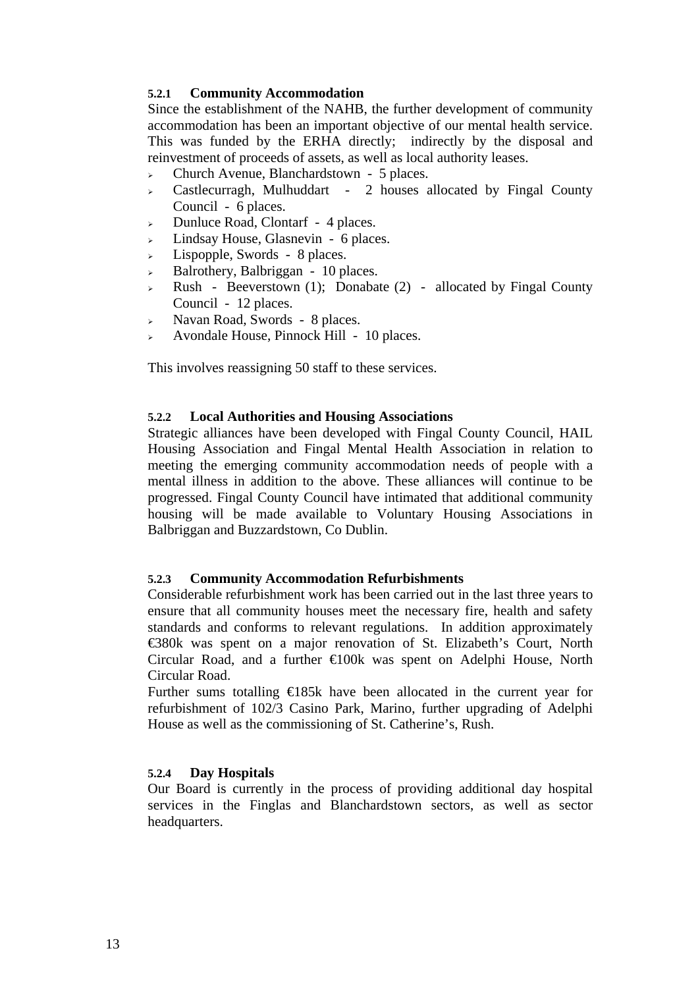## **5.2.1 Community Accommodation**

Since the establishment of the NAHB, the further development of community accommodation has been an important objective of our mental health service. This was funded by the ERHA directly; indirectly by the disposal and reinvestment of proceeds of assets, as well as local authority leases.

- <sup>¾</sup> Church Avenue, Blanchardstown 5 places.
- <sup>¾</sup> Castlecurragh, Mulhuddart 2 houses allocated by Fingal County Council - 6 places.
- <sup>¾</sup> Dunluce Road, Clontarf 4 places.
- <sup>¾</sup> Lindsay House, Glasnevin 6 places.
- $\geq$  Lispopple, Swords 8 places.
- $\triangleright$  Balrothery, Balbriggan 10 places.
- $\triangleright$  Rush Beeverstown (1); Donabate (2) allocated by Fingal County Council - 12 places.
- <sup>¾</sup> Navan Road, Swords 8 places.
- <sup>¾</sup> Avondale House, Pinnock Hill 10 places.

This involves reassigning 50 staff to these services.

## **5.2.2 Local Authorities and Housing Associations**

Strategic alliances have been developed with Fingal County Council, HAIL Housing Association and Fingal Mental Health Association in relation to meeting the emerging community accommodation needs of people with a mental illness in addition to the above. These alliances will continue to be progressed. Fingal County Council have intimated that additional community housing will be made available to Voluntary Housing Associations in Balbriggan and Buzzardstown, Co Dublin.

## **5.2.3 Community Accommodation Refurbishments**

Considerable refurbishment work has been carried out in the last three years to ensure that all community houses meet the necessary fire, health and safety standards and conforms to relevant regulations. In addition approximately €380k was spent on a major renovation of St. Elizabeth's Court, North Circular Road, and a further €100k was spent on Adelphi House, North Circular Road.

Further sums totalling €185k have been allocated in the current year for refurbishment of 102/3 Casino Park, Marino, further upgrading of Adelphi House as well as the commissioning of St. Catherine's, Rush.

## **5.2.4 Day Hospitals**

Our Board is currently in the process of providing additional day hospital services in the Finglas and Blanchardstown sectors, as well as sector headquarters.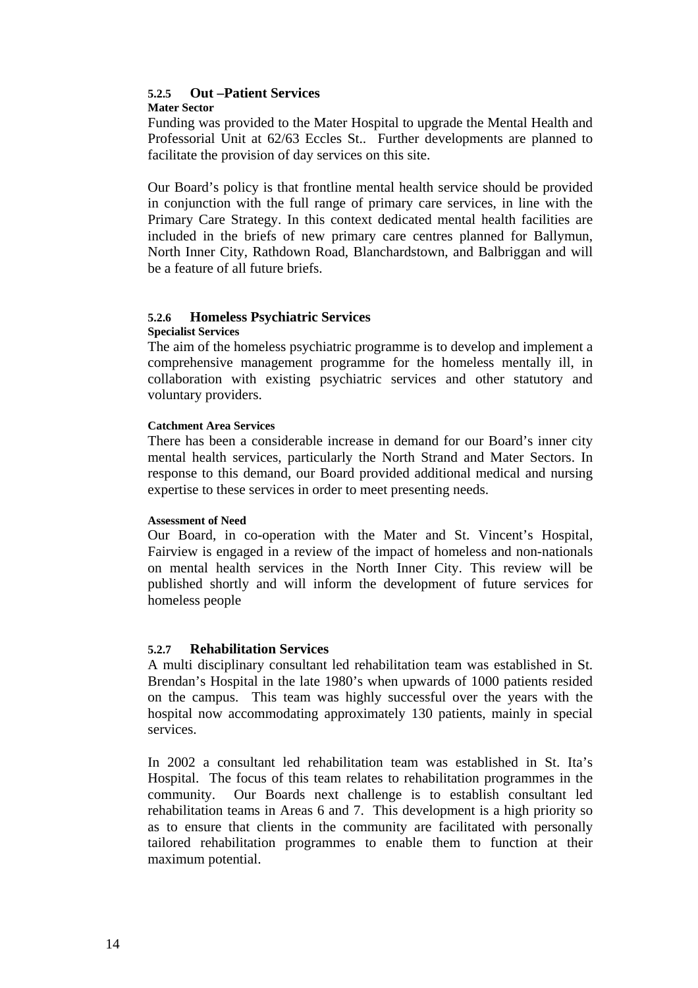#### **5.2.5 Out –Patient Services Mater Sector**

Funding was provided to the Mater Hospital to upgrade the Mental Health and Professorial Unit at 62/63 Eccles St.. Further developments are planned to facilitate the provision of day services on this site.

Our Board's policy is that frontline mental health service should be provided in conjunction with the full range of primary care services, in line with the Primary Care Strategy. In this context dedicated mental health facilities are included in the briefs of new primary care centres planned for Ballymun, North Inner City, Rathdown Road, Blanchardstown, and Balbriggan and will be a feature of all future briefs.

# **5.2.6 Homeless Psychiatric Services**

## **Specialist Services**

The aim of the homeless psychiatric programme is to develop and implement a comprehensive management programme for the homeless mentally ill, in collaboration with existing psychiatric services and other statutory and voluntary providers.

## **Catchment Area Services**

There has been a considerable increase in demand for our Board's inner city mental health services, particularly the North Strand and Mater Sectors. In response to this demand, our Board provided additional medical and nursing expertise to these services in order to meet presenting needs.

#### **Assessment of Need**

Our Board, in co-operation with the Mater and St. Vincent's Hospital, Fairview is engaged in a review of the impact of homeless and non-nationals on mental health services in the North Inner City. This review will be published shortly and will inform the development of future services for homeless people

## **5.2.7 Rehabilitation Services**

A multi disciplinary consultant led rehabilitation team was established in St. Brendan's Hospital in the late 1980's when upwards of 1000 patients resided on the campus. This team was highly successful over the years with the hospital now accommodating approximately 130 patients, mainly in special services.

In 2002 a consultant led rehabilitation team was established in St. Ita's Hospital. The focus of this team relates to rehabilitation programmes in the community. Our Boards next challenge is to establish consultant led rehabilitation teams in Areas 6 and 7. This development is a high priority so as to ensure that clients in the community are facilitated with personally tailored rehabilitation programmes to enable them to function at their maximum potential.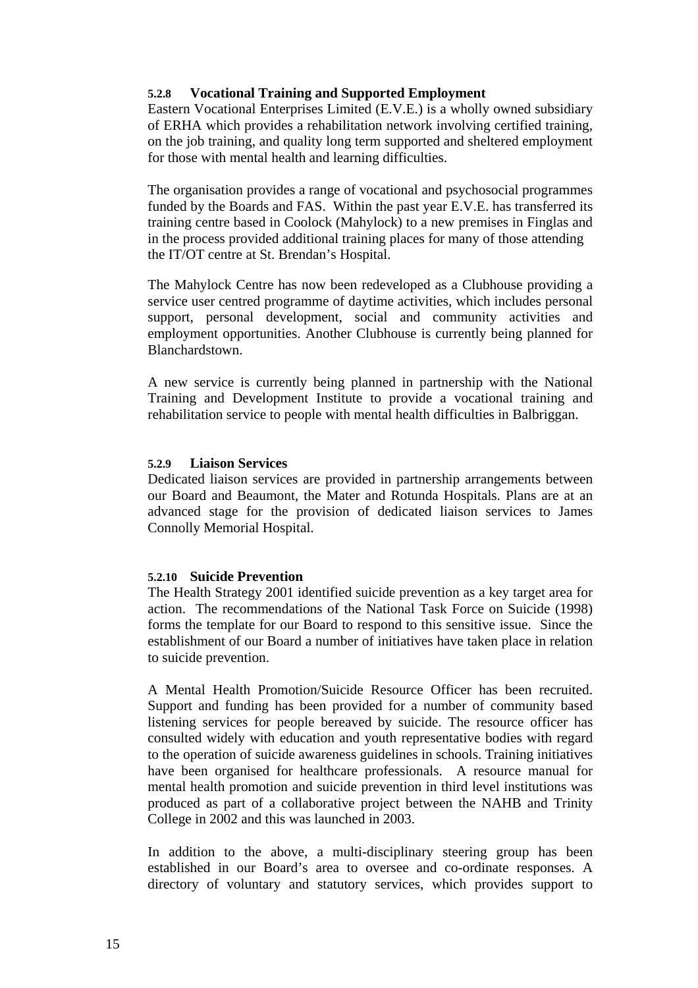## **5.2.8 Vocational Training and Supported Employment**

Eastern Vocational Enterprises Limited (E.V.E.) is a wholly owned subsidiary of ERHA which provides a rehabilitation network involving certified training, on the job training, and quality long term supported and sheltered employment for those with mental health and learning difficulties.

The organisation provides a range of vocational and psychosocial programmes funded by the Boards and FAS. Within the past year E.V.E. has transferred its training centre based in Coolock (Mahylock) to a new premises in Finglas and in the process provided additional training places for many of those attending the IT/OT centre at St. Brendan's Hospital.

The Mahylock Centre has now been redeveloped as a Clubhouse providing a service user centred programme of daytime activities, which includes personal support, personal development, social and community activities and employment opportunities. Another Clubhouse is currently being planned for Blanchardstown.

A new service is currently being planned in partnership with the National Training and Development Institute to provide a vocational training and rehabilitation service to people with mental health difficulties in Balbriggan.

## **5.2.9 Liaison Services**

Dedicated liaison services are provided in partnership arrangements between our Board and Beaumont, the Mater and Rotunda Hospitals. Plans are at an advanced stage for the provision of dedicated liaison services to James Connolly Memorial Hospital.

## **5.2.10 Suicide Prevention**

The Health Strategy 2001 identified suicide prevention as a key target area for action. The recommendations of the National Task Force on Suicide (1998) forms the template for our Board to respond to this sensitive issue. Since the establishment of our Board a number of initiatives have taken place in relation to suicide prevention.

A Mental Health Promotion/Suicide Resource Officer has been recruited. Support and funding has been provided for a number of community based listening services for people bereaved by suicide. The resource officer has consulted widely with education and youth representative bodies with regard to the operation of suicide awareness guidelines in schools. Training initiatives have been organised for healthcare professionals. A resource manual for mental health promotion and suicide prevention in third level institutions was produced as part of a collaborative project between the NAHB and Trinity College in 2002 and this was launched in 2003.

In addition to the above, a multi-disciplinary steering group has been established in our Board's area to oversee and co-ordinate responses. A directory of voluntary and statutory services, which provides support to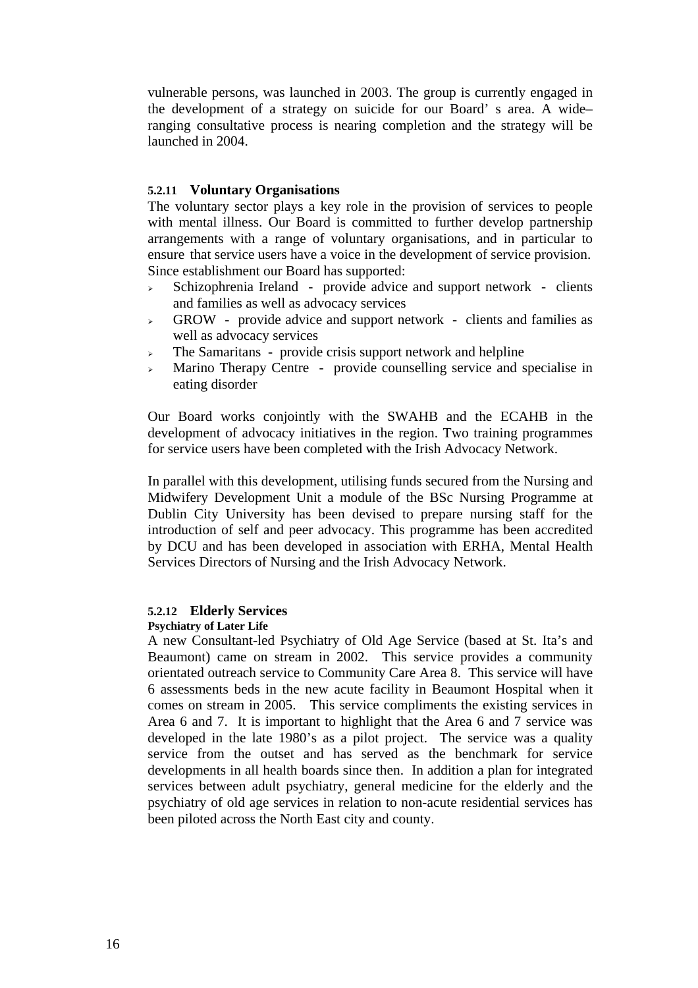vulnerable persons, was launched in 2003. The group is currently engaged in the development of a strategy on suicide for our Board' s area. A wide– ranging consultative process is nearing completion and the strategy will be launched in 2004.

## **5.2.11 Voluntary Organisations**

The voluntary sector plays a key role in the provision of services to people with mental illness. Our Board is committed to further develop partnership arrangements with a range of voluntary organisations, and in particular to ensure that service users have a voice in the development of service provision. Since establishment our Board has supported:

- Schizophrenia Ireland provide advice and support network clients and families as well as advocacy services
- $\rightarrow$  GROW provide advice and support network clients and families as well as advocacy services
- $\geq$  The Samaritans provide crisis support network and helpline
- <sup>¾</sup> Marino Therapy Centre provide counselling service and specialise in eating disorder

Our Board works conjointly with the SWAHB and the ECAHB in the development of advocacy initiatives in the region. Two training programmes for service users have been completed with the Irish Advocacy Network.

In parallel with this development, utilising funds secured from the Nursing and Midwifery Development Unit a module of the BSc Nursing Programme at Dublin City University has been devised to prepare nursing staff for the introduction of self and peer advocacy. This programme has been accredited by DCU and has been developed in association with ERHA, Mental Health Services Directors of Nursing and the Irish Advocacy Network.

## **5.2.12 Elderly Services**

#### **Psychiatry of Later Life**

A new Consultant-led Psychiatry of Old Age Service (based at St. Ita's and Beaumont) came on stream in 2002. This service provides a community orientated outreach service to Community Care Area 8. This service will have 6 assessments beds in the new acute facility in Beaumont Hospital when it comes on stream in 2005. This service compliments the existing services in Area 6 and 7. It is important to highlight that the Area 6 and 7 service was developed in the late 1980's as a pilot project. The service was a quality service from the outset and has served as the benchmark for service developments in all health boards since then. In addition a plan for integrated services between adult psychiatry, general medicine for the elderly and the psychiatry of old age services in relation to non-acute residential services has been piloted across the North East city and county.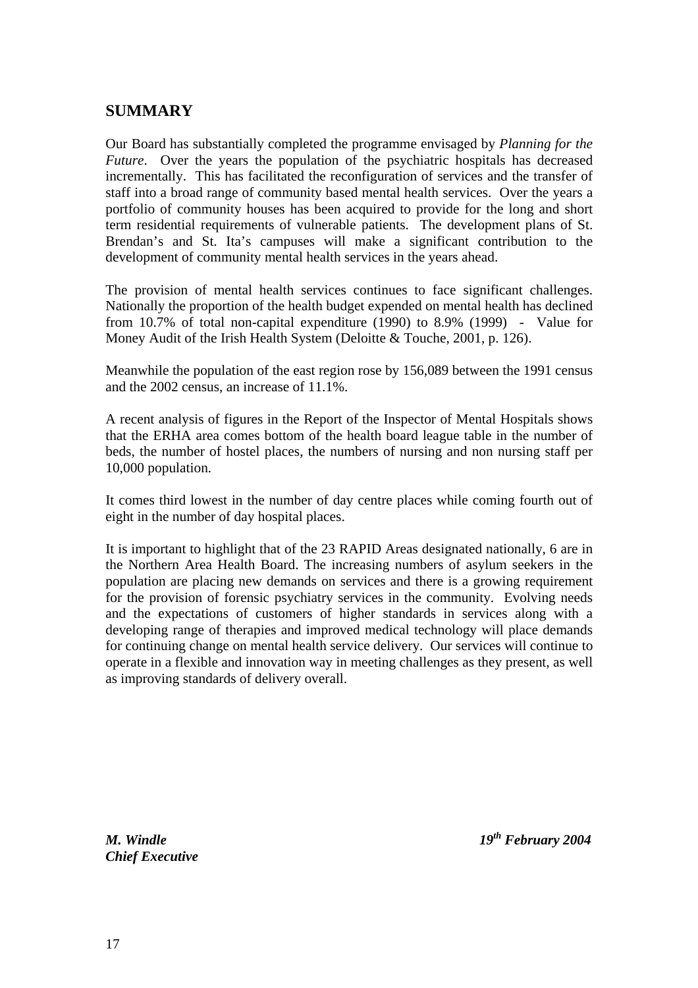# **SUMMARY**

Our Board has substantially completed the programme envisaged by *Planning for the Future*. Over the years the population of the psychiatric hospitals has decreased incrementally. This has facilitated the reconfiguration of services and the transfer of staff into a broad range of community based mental health services. Over the years a portfolio of community houses has been acquired to provide for the long and short term residential requirements of vulnerable patients. The development plans of St. Brendan's and St. Ita's campuses will make a significant contribution to the development of community mental health services in the years ahead.

The provision of mental health services continues to face significant challenges. Nationally the proportion of the health budget expended on mental health has declined from 10.7% of total non-capital expenditure (1990) to 8.9% (1999) - Value for Money Audit of the Irish Health System (Deloitte & Touche, 2001, p. 126).

Meanwhile the population of the east region rose by 156,089 between the 1991 census and the 2002 census, an increase of 11.1%.

A recent analysis of figures in the Report of the Inspector of Mental Hospitals shows that the ERHA area comes bottom of the health board league table in the number of beds, the number of hostel places, the numbers of nursing and non nursing staff per 10,000 population.

It comes third lowest in the number of day centre places while coming fourth out of eight in the number of day hospital places.

It is important to highlight that of the 23 RAPID Areas designated nationally, 6 are in the Northern Area Health Board. The increasing numbers of asylum seekers in the population are placing new demands on services and there is a growing requirement for the provision of forensic psychiatry services in the community. Evolving needs and the expectations of customers of higher standards in services along with a developing range of therapies and improved medical technology will place demands for continuing change on mental health service delivery. Our services will continue to operate in a flexible and innovation way in meeting challenges as they present, as well as improving standards of delivery overall.

*Chief Executive*

*M. Windle 19th February 2004*